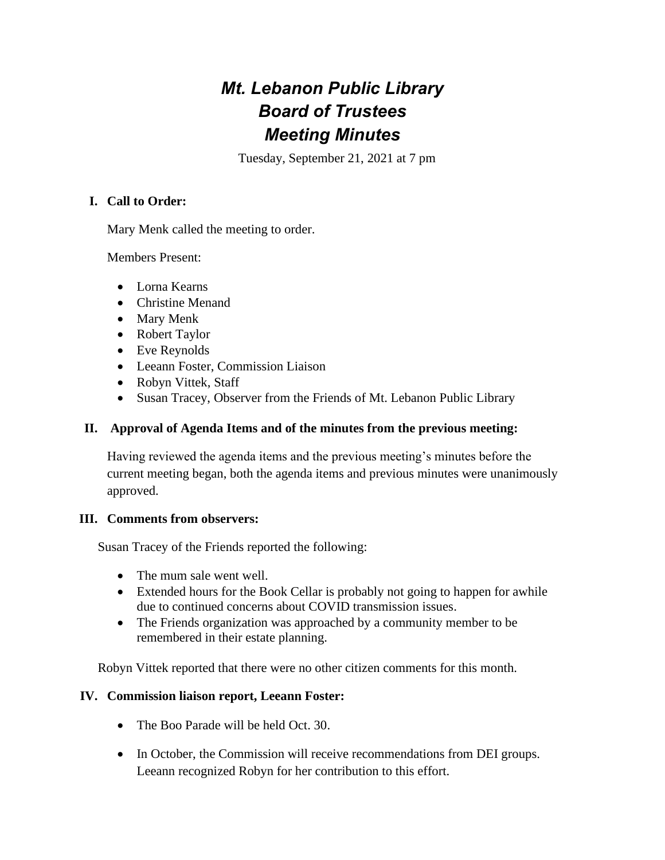# *Mt. Lebanon Public Library Board of Trustees Meeting Minutes*

Tuesday, September 21, 2021 at 7 pm

# **I. Call to Order:**

Mary Menk called the meeting to order.

Members Present:

- Lorna Kearns
- Christine Menand
- Mary Menk
- Robert Taylor
- Eve Reynolds
- Leeann Foster, Commission Liaison
- Robyn Vittek, Staff
- Susan Tracey, Observer from the Friends of Mt. Lebanon Public Library

# **II. Approval of Agenda Items and of the minutes from the previous meeting:**

Having reviewed the agenda items and the previous meeting's minutes before the current meeting began, both the agenda items and previous minutes were unanimously approved.

# **III. Comments from observers:**

Susan Tracey of the Friends reported the following:

- The mum sale went well.
- Extended hours for the Book Cellar is probably not going to happen for awhile due to continued concerns about COVID transmission issues.
- The Friends organization was approached by a community member to be remembered in their estate planning.

Robyn Vittek reported that there were no other citizen comments for this month.

# **IV. Commission liaison report, Leeann Foster:**

- The Boo Parade will be held Oct. 30.
- In October, the Commission will receive recommendations from DEI groups. Leeann recognized Robyn for her contribution to this effort.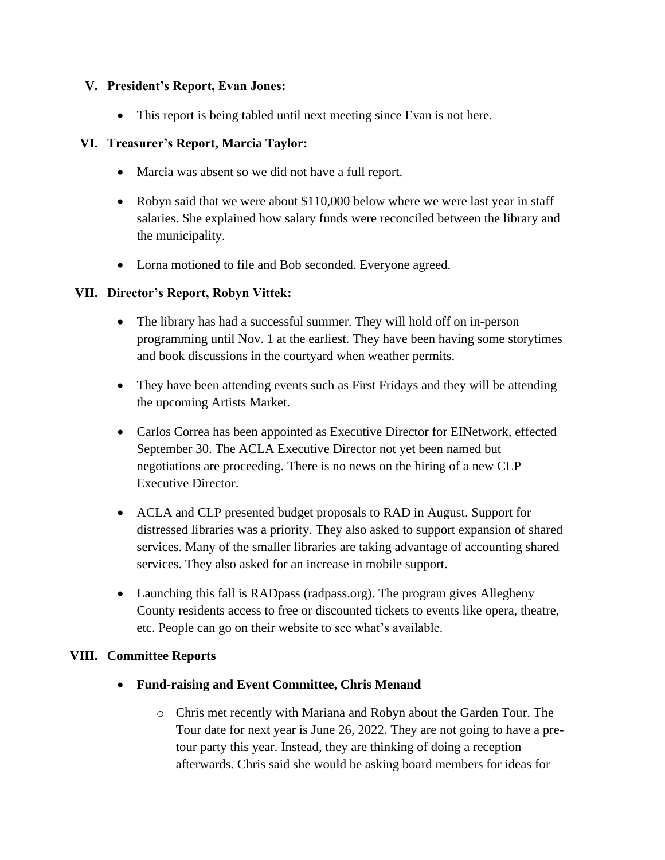# **V. President's Report, Evan Jones:**

• This report is being tabled until next meeting since Evan is not here.

# **VI. Treasurer's Report, Marcia Taylor:**

- Marcia was absent so we did not have a full report.
- Robyn said that we were about \$110,000 below where we were last year in staff salaries. She explained how salary funds were reconciled between the library and the municipality.
- Lorna motioned to file and Bob seconded. Everyone agreed.

# **VII. Director's Report, Robyn Vittek:**

- The library has had a successful summer. They will hold off on in-person programming until Nov. 1 at the earliest. They have been having some storytimes and book discussions in the courtyard when weather permits.
- They have been attending events such as First Fridays and they will be attending the upcoming Artists Market.
- Carlos Correa has been appointed as Executive Director for EINetwork, effected September 30. The ACLA Executive Director not yet been named but negotiations are proceeding. There is no news on the hiring of a new CLP Executive Director.
- ACLA and CLP presented budget proposals to RAD in August. Support for distressed libraries was a priority. They also asked to support expansion of shared services. Many of the smaller libraries are taking advantage of accounting shared services. They also asked for an increase in mobile support.
- Launching this fall is RAD pass (radpass.org). The program gives Allegheny County residents access to free or discounted tickets to events like opera, theatre, etc. People can go on their website to see what's available.

# **VIII. Committee Reports**

- **Fund-raising and Event Committee, Chris Menand**
	- o Chris met recently with Mariana and Robyn about the Garden Tour. The Tour date for next year is June 26, 2022. They are not going to have a pretour party this year. Instead, they are thinking of doing a reception afterwards. Chris said she would be asking board members for ideas for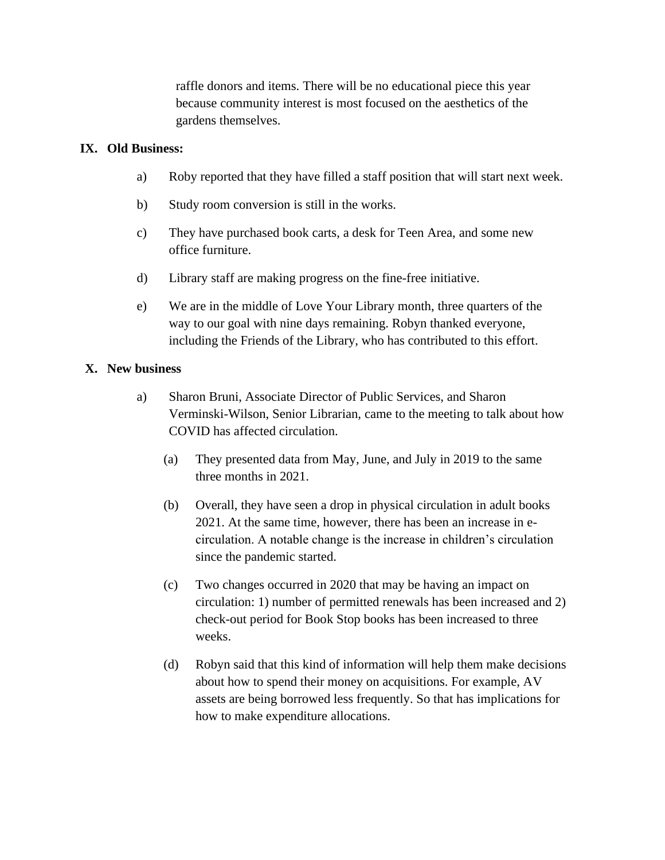raffle donors and items. There will be no educational piece this year because community interest is most focused on the aesthetics of the gardens themselves.

## **IX. Old Business:**

- a) Roby reported that they have filled a staff position that will start next week.
- b) Study room conversion is still in the works.
- c) They have purchased book carts, a desk for Teen Area, and some new office furniture.
- d) Library staff are making progress on the fine-free initiative.
- e) We are in the middle of Love Your Library month, three quarters of the way to our goal with nine days remaining. Robyn thanked everyone, including the Friends of the Library, who has contributed to this effort.

#### **X. New business**

- a) Sharon Bruni, Associate Director of Public Services, and Sharon Verminski-Wilson, Senior Librarian, came to the meeting to talk about how COVID has affected circulation.
	- (a) They presented data from May, June, and July in 2019 to the same three months in 2021.
	- (b) Overall, they have seen a drop in physical circulation in adult books 2021. At the same time, however, there has been an increase in ecirculation. A notable change is the increase in children's circulation since the pandemic started.
	- (c) Two changes occurred in 2020 that may be having an impact on circulation: 1) number of permitted renewals has been increased and 2) check-out period for Book Stop books has been increased to three weeks.
	- (d) Robyn said that this kind of information will help them make decisions about how to spend their money on acquisitions. For example, AV assets are being borrowed less frequently. So that has implications for how to make expenditure allocations.